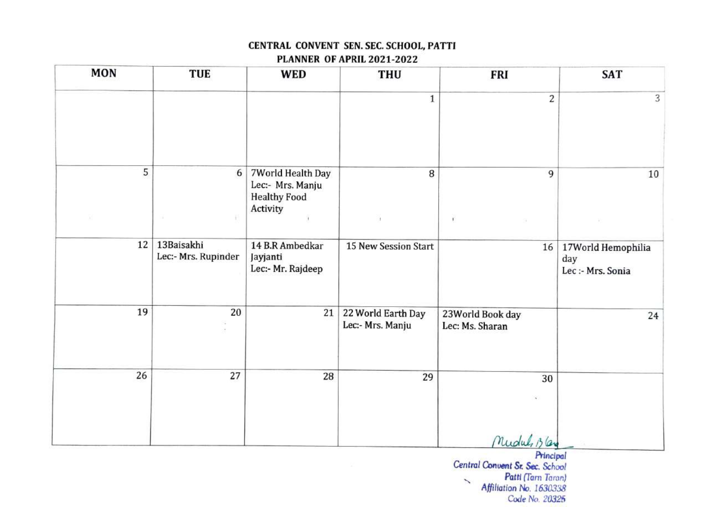#### CENTRAL CONVENT SEN. SEC. SCHOOL, PATTI PLANNER OF APRIL 2021-2022

| <b>MON</b> | <b>TUE</b>                        | <b>WED</b>                                                               | <b>THU</b>                             | <b>FRI</b>                          | <b>SAT</b>                                     |
|------------|-----------------------------------|--------------------------------------------------------------------------|----------------------------------------|-------------------------------------|------------------------------------------------|
|            |                                   |                                                                          | $\mathbf{1}$                           | $\overline{c}$                      | 3                                              |
| 5          | 6                                 | 7World Health Day<br>Lec:- Mrs. Manju<br><b>Healthy Food</b><br>Activity | 8                                      | 9                                   | 10                                             |
|            | ok.                               |                                                                          | $\mathbf{1}$                           | $\mathbf{t}^{\prime}$               |                                                |
| 12         | 13Baisakhi<br>Lec:- Mrs. Rupinder | 14 B.R Ambedkar<br>Jayjanti<br>Lec:- Mr. Rajdeep                         | 15 New Session Start                   | 16                                  | 17World Hemophilia<br>day<br>Lec :- Mrs. Sonia |
| 19         | 20                                | 21                                                                       | 22 World Earth Day<br>Lec:- Mrs. Manju | 23World Book day<br>Lec: Ms. Sharan | 24                                             |
| 26         | 27                                | 28                                                                       | 29                                     | 30                                  |                                                |
|            |                                   |                                                                          |                                        | Mudul Blay                          |                                                |

Principal Central Conuent Sr Sec. School Patti (Tarn Taron)  $\overline{\phantom{0}}$ Affiliation No. 1630338 Code No. 20325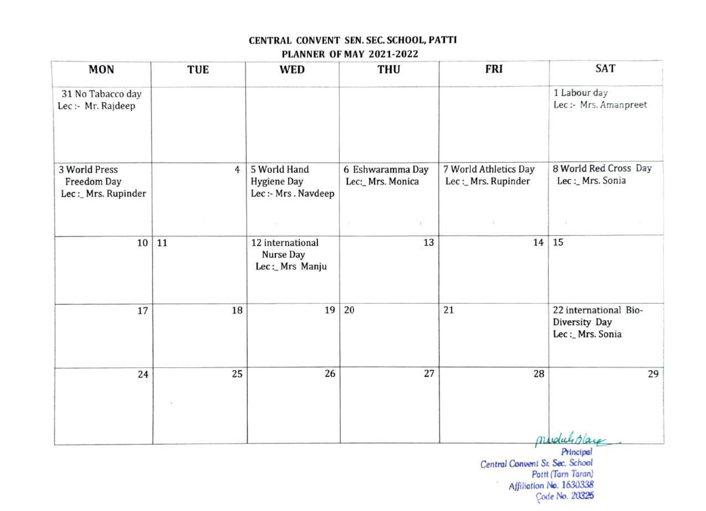#### PLANNER OF MAY 2021-2022

| 1 Labour day<br>31 No Tabacco day<br>Lec:- Mrs. Amanpreet<br>Lec :- Mr. Rajdeep<br>8 World Red Cross Day<br>5 World Hand<br>7 World Athletics Day<br>3 World Press<br>6 Eshwaramma Day<br>$\overline{4}$<br>Lec :_ Mrs. Sonia<br>Lec:_Mrs. Rupinder<br>Lec:_Mrs. Monica<br>Freedom Day<br><b>Hygiene Day</b><br>Lec :- Mrs. Navdeep<br>Lec: Mrs. Rupinder<br>x)<br>u.<br>15<br>13<br>14<br>10<br>12 international<br>11<br><b>Nurse Day</b><br>Lec: Mrs Manju<br>19<br>20<br>21<br>22 international Bio-<br>18<br>17<br>Diversity Day<br>Lec:_Mrs. Sonia<br>27<br>28<br>25<br>26<br>29<br>24<br>miduliplace | <b>MON</b> | TUE | <b>WED</b> | <b>THU</b> | <b>FRI</b> | SAT |
|-------------------------------------------------------------------------------------------------------------------------------------------------------------------------------------------------------------------------------------------------------------------------------------------------------------------------------------------------------------------------------------------------------------------------------------------------------------------------------------------------------------------------------------------------------------------------------------------------------------|------------|-----|------------|------------|------------|-----|
|                                                                                                                                                                                                                                                                                                                                                                                                                                                                                                                                                                                                             |            |     |            |            |            |     |
|                                                                                                                                                                                                                                                                                                                                                                                                                                                                                                                                                                                                             |            |     |            |            |            |     |
|                                                                                                                                                                                                                                                                                                                                                                                                                                                                                                                                                                                                             |            |     |            |            |            |     |
|                                                                                                                                                                                                                                                                                                                                                                                                                                                                                                                                                                                                             |            |     |            |            |            |     |
|                                                                                                                                                                                                                                                                                                                                                                                                                                                                                                                                                                                                             |            |     |            |            |            |     |
|                                                                                                                                                                                                                                                                                                                                                                                                                                                                                                                                                                                                             |            |     |            |            |            |     |
|                                                                                                                                                                                                                                                                                                                                                                                                                                                                                                                                                                                                             |            |     |            |            |            |     |

Principal Central Conuent Sr Sec. School Patti (Tarn Taran) Affiliation No. 1630338 Code No. 20325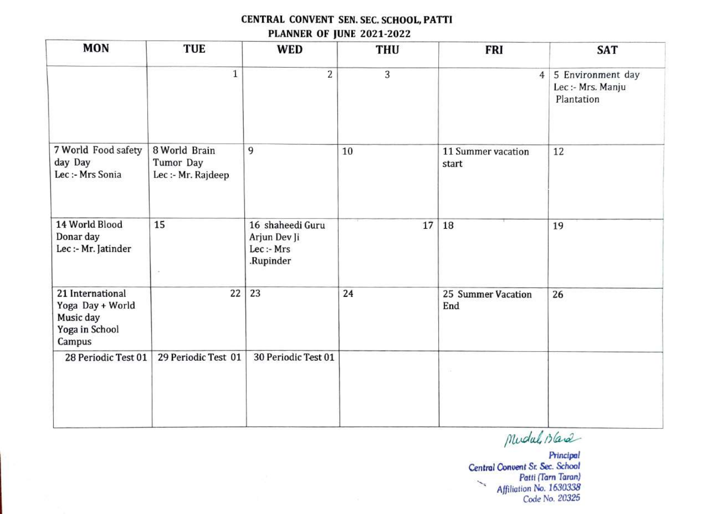### CENTRAL CONVENT SEN. SEC. SCHOOL, PATTI PLANNER OF JUNE 2021-2022

| <b>MON</b>                                                                    | <b>TUE</b>                                       | <b>WED</b>                                                  | <b>THU</b> | <b>FRI</b>                  | <b>SAT</b>                                           |
|-------------------------------------------------------------------------------|--------------------------------------------------|-------------------------------------------------------------|------------|-----------------------------|------------------------------------------------------|
|                                                                               | $\mathbf 1$                                      | $\overline{2}$                                              | 3          | $\overline{4}$              | 5 Environment day<br>Lec :- Mrs. Manju<br>Plantation |
| 7 World Food safety<br>day Day<br>Lec :- Mrs Sonia                            | 8 World Brain<br>Tumor Day<br>Lec :- Mr. Rajdeep | 9                                                           | 10         | 11 Summer vacation<br>start | 12                                                   |
| 14 World Blood<br>Donar day<br>Lec :- Mr. Jatinder                            | 15                                               | 16 shaheedi Guru<br>Arjun Dev Ji<br>Lec :- Mrs<br>.Rupinder | 17         | 18                          | 19                                                   |
| 21 International<br>Yoga Day + World<br>Music day<br>Yoga in School<br>Campus | 22                                               | 23                                                          | 24         | 25 Summer Vacation<br>End   | 26                                                   |
| 28 Periodic Test 01                                                           | 29 Periodic Test 01                              | 30 Periodic Test 01                                         |            | 52                          |                                                      |

Mudal, Bland

Principal Central Convent Sr Sec. Schoo! Patti (Tarn Taran) سيمته Affiliation No. 1630338 Code No. 20325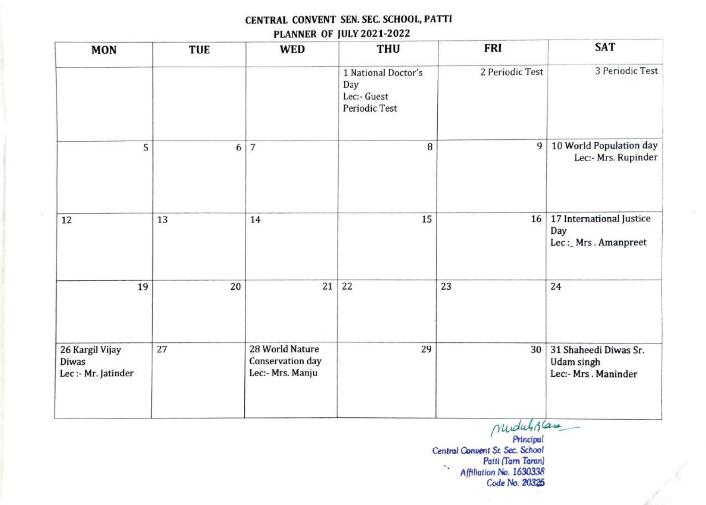### CENTRAL CONVENT SEN. SEC. SCHOOL, PATTI PLANNER OF JULY 2021-2022

| <b>MON</b>                                             | <b>TUE</b>       | <b>WED</b>                                              | <b>THU</b>                                                 | <b>FRI</b>      | <b>SAT</b>                                                 |
|--------------------------------------------------------|------------------|---------------------------------------------------------|------------------------------------------------------------|-----------------|------------------------------------------------------------|
|                                                        |                  |                                                         | 1 National Doctor's<br>Day<br>Lec:- Guest<br>Periodic Test | 2 Periodic Test | 3 Periodic Test                                            |
| 5                                                      | $\boldsymbol{6}$ | $\overline{7}$                                          | $\, 8$                                                     | 9               | 10 World Population day<br>Lec:- Mrs. Rupinder             |
| 12                                                     | 13               | 14                                                      | 15                                                         | 16              | 17 International Justice<br>Day<br>Lec:_Mrs.Amanpreet      |
| 19                                                     | 20               | 21                                                      | 22                                                         | 23              | 24                                                         |
| 26 Kargil Vijay<br><b>Diwas</b><br>Lec :- Mr. Jatinder | 27               | 28 World Nature<br>Conservation day<br>Lec:- Mrs. Manju | 29                                                         | 30              | 31 Shaheedi Diwas Sr.<br>Udam singh<br>Lec:- Mrs. Maninder |

mudulisland Principal Central Conuent Sr. Sec. School Patti (Tarn Taran)  $\mathcal{C}_{\mathbf{r}}$ Affilation No. 1630338 Code No. 20325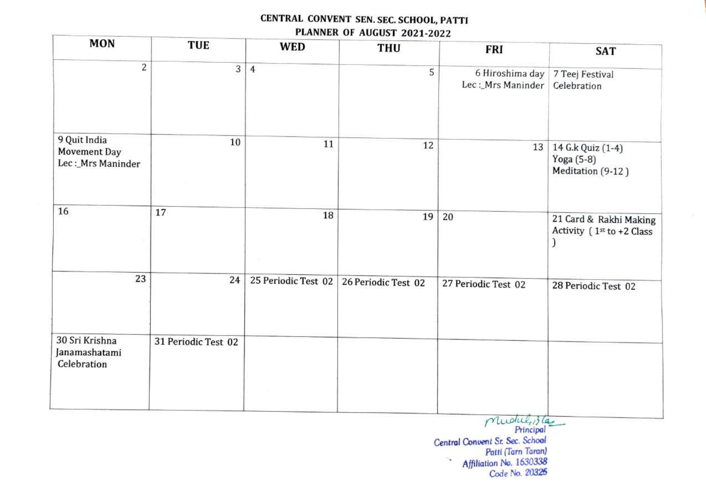### CENTRAL CONVENT SEN. SEC. SCHOOL, PATTI PLANNER OF AUGUST 2021-2022

| <b>MON</b>                                        | <b>TUE</b>          | <b>WED</b>          | THU                 | <b>FRI</b>                                           | <b>SAT</b>                                               |
|---------------------------------------------------|---------------------|---------------------|---------------------|------------------------------------------------------|----------------------------------------------------------|
| 2                                                 | $\overline{3}$      | $\overline{4}$      | 5                   | 6 Hiroshima day 7 Teej Festival<br>Lec:_Mrs Maninder | Celebration                                              |
| 9 Quit India<br>Movement Day<br>Lec: Mrs Maninder | 10                  | 11                  | 12                  | 13                                                   | 14 G.k Quiz (1-4)<br>Yoga (5-8)<br>Meditation (9-12)     |
| 16                                                | 17                  | 18                  | 19                  | 20                                                   | 21 Card & Rakhi Making<br>Activity (1st to +2 Class<br>) |
| 23                                                | 24                  | 25 Periodic Test 02 | 26 Periodic Test 02 | 27 Periodic Test 02                                  | 28 Periodic Test 02                                      |
| 30 Sri Krishna<br>Janamashatami<br>Celebration    | 31 Periodic Test 02 |                     |                     |                                                      |                                                          |
|                                                   |                     |                     |                     | mudul, 3 las                                         |                                                          |

Principal Central Convent Sr. Sec. School Patti (Tarn Taran) Affiliation No. 1630338  $\mathcal{A}$ Code No. 20325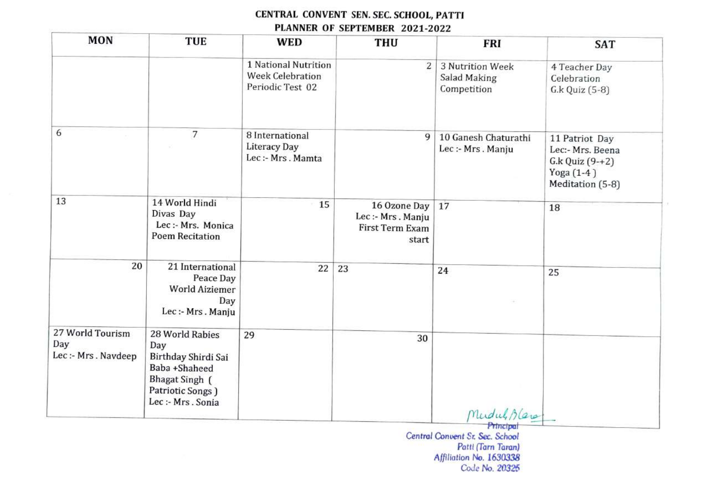#### CENTRAL CONVENT SEN. SEC. SCHOOL, PATTI PLANNER OF SEPTEMBER 2021-2022

| <b>MON</b>                                    | <b>TUE</b>                                                                                                                        | <b>WED</b>                                                          | <b>THU</b>                                                   | <b>FRI</b>                                      | <b>SAT</b>                                                                                  |
|-----------------------------------------------|-----------------------------------------------------------------------------------------------------------------------------------|---------------------------------------------------------------------|--------------------------------------------------------------|-------------------------------------------------|---------------------------------------------------------------------------------------------|
|                                               |                                                                                                                                   | 1 National Nutrition<br><b>Week Celebration</b><br>Periodic Test 02 | 2 <sup>1</sup>                                               | 3 Nutrition Week<br>Salad Making<br>Competition | 4 Teacher Day<br>Celebration<br>G.k Quiz (5-8)                                              |
| 6                                             | 7                                                                                                                                 | 8 International<br>Literacy Day<br>Lec :- Mrs. Mamta                | 9                                                            | 10 Ganesh Chaturathi<br>Lec :- Mrs. Manju       | 11 Patriot Day<br>Lec:- Mrs. Beena<br>$G.k$ Quiz $(9-+2)$<br>Yoga (1-4)<br>Meditation (5-8) |
| 13                                            | 14 World Hindi<br>Divas Day<br>Lec :- Mrs. Monica<br><b>Poem Recitation</b>                                                       | 15                                                                  | 16 Ozone Day<br>Lec:- Mrs. Manju<br>First Term Exam<br>start | 17                                              | 18                                                                                          |
| 20                                            | 21 International<br>Peace Day<br><b>World Aiziemer</b><br>Day<br>Lec:- Mrs. Manju                                                 | 22                                                                  | 23                                                           | 24                                              | 25                                                                                          |
| 27 World Tourism<br>Day<br>Lec:- Mrs. Navdeep | 28 World Rabies<br>Day<br>Birthday Shirdi Sai<br>Baba +Shaheed<br><b>Bhagat Singh</b> (<br>Patriotic Songs )<br>Lec :- Mrs. Sonia | 29                                                                  | 30                                                           | Mudul, Blanc                                    |                                                                                             |

Principal Central Convent Sr. Sec. School Patti (Tarn Taran) Affiliation No. 1630338 Code No. 20325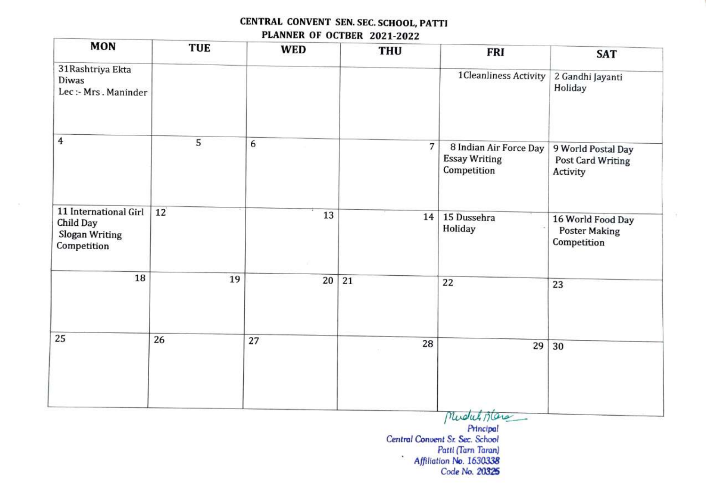### CENTRAL CONVENT SEN. SEC. SCHOOL, PATTI PLANNER OF OCTBER 2021-2022

| <b>MON</b>                                                          | <b>TUE</b> | <b>WED</b> | <b>THU</b> | <b>FRI</b>                                                                        | <b>SAT</b>                                               |
|---------------------------------------------------------------------|------------|------------|------------|-----------------------------------------------------------------------------------|----------------------------------------------------------|
| 31 Rashtriya Ekta<br>Diwas<br>Lec :- Mrs. Maninder                  |            |            |            | 1Cleanliness Activity                                                             | 2 Gandhi Jayanti<br>Holiday                              |
| 4                                                                   | 5          | 6          | 7          | 8 Indian Air Force Day<br><b>Essay Writing</b><br>Competition                     | 9 World Postal Day<br>Post Card Writing<br>Activity      |
| 11 International Girl<br>Child Day<br>Slogan Writing<br>Competition | 12         | 13         | 14         | 15 Dussehra<br>Holiday                                                            | 16 World Food Day<br><b>Poster Making</b><br>Competition |
| 18                                                                  | 19         | 20         | 21         | 22                                                                                | 23                                                       |
| 25                                                                  | 26         | 27         | 28         | 29                                                                                | 30                                                       |
|                                                                     |            |            |            | Mudul Blanc<br>Principal<br>Central Convent Sr. Sec. School<br>Patti (Tarn Taran) |                                                          |

Affiliation No. 1630338 Code No. 20325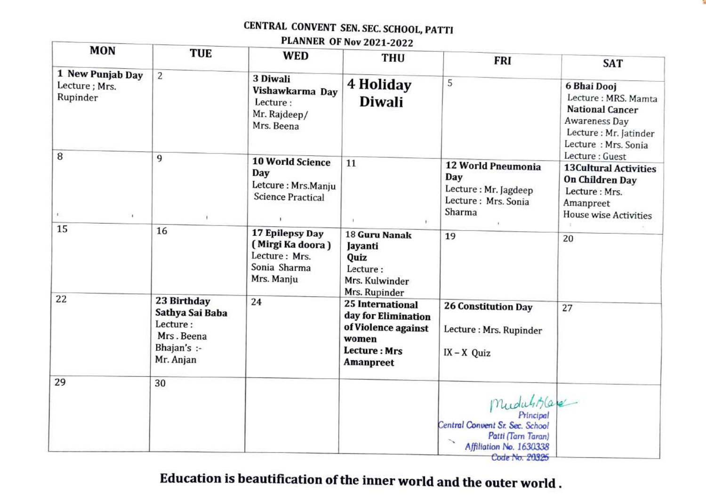PLANNER OF Nov 2021-2022

| MON                                                | TUE                                                                                  | <b>WED</b>                                                                         | <b>THU</b>                                                                                                  | <b>FRI</b>                                                                                                     | <b>SAT</b>                                                                                                                                      |
|----------------------------------------------------|--------------------------------------------------------------------------------------|------------------------------------------------------------------------------------|-------------------------------------------------------------------------------------------------------------|----------------------------------------------------------------------------------------------------------------|-------------------------------------------------------------------------------------------------------------------------------------------------|
| 1 New Punjab Day<br>Lecture; Mrs.<br>Rupinder<br>8 | $\overline{2}$                                                                       | 3 Diwali<br>Vishawkarma Day<br>Lecture:<br>Mr. Rajdeep/<br>Mrs. Beena              | 4 Holiday<br><b>Diwali</b>                                                                                  | 5                                                                                                              | 6 Bhai Dooj<br>Lecture: MRS. Mamta<br><b>National Cancer</b><br>Awareness Day<br>Lecture: Mr. Jatinder<br>Lecture: Mrs. Sonia<br>Lecture: Guest |
| $\mathbb{E}$ .<br>$\blacksquare$                   | 9                                                                                    | <b>10 World Science</b><br>Day<br>Letcure: Mrs.Manju<br><b>Science Practical</b>   | 11                                                                                                          | 12 World Pneumonia<br>Day<br>Lecture: Mr. Jagdeep<br>Lecture: Mrs. Sonia<br>Sharma                             | <b>13Cultural Activities</b><br>On Children Day<br>Lecture : Mrs.<br>Amanpreet<br>House wise Activities<br>圧                                    |
| 15                                                 | 16                                                                                   | 17 Epilepsy Day<br>(Mirgi Ka doora)<br>Lecture: Mrs.<br>Sonia Sharma<br>Mrs. Manju | 18 Guru Nanak<br>Jayanti<br>Quiz<br>Lecture:<br>Mrs. Kulwinder<br>Mrs. Rupinder                             | 19                                                                                                             | 20                                                                                                                                              |
| 22                                                 | 23 Birthday<br>Sathya Sai Baba<br>Lecture:<br>Mrs. Beena<br>Bhajan's :-<br>Mr. Anjan | 24                                                                                 | 25 International<br>day for Elimination<br>of Violence against<br>women<br><b>Lecture: Mrs</b><br>Amanpreet | <b>26 Constitution Day</b><br>Lecture: Mrs. Rupinder<br>$IX - X$ Quiz                                          | 27                                                                                                                                              |
| 29                                                 | 30                                                                                   |                                                                                    |                                                                                                             | Mudulita<br>Central Convent Sr. Sec. School<br>Patti (Tarn Taran)<br>Affiliation No. 1630338<br>Code No. 20325 |                                                                                                                                                 |

Education is beautification of the inner world and the outer world.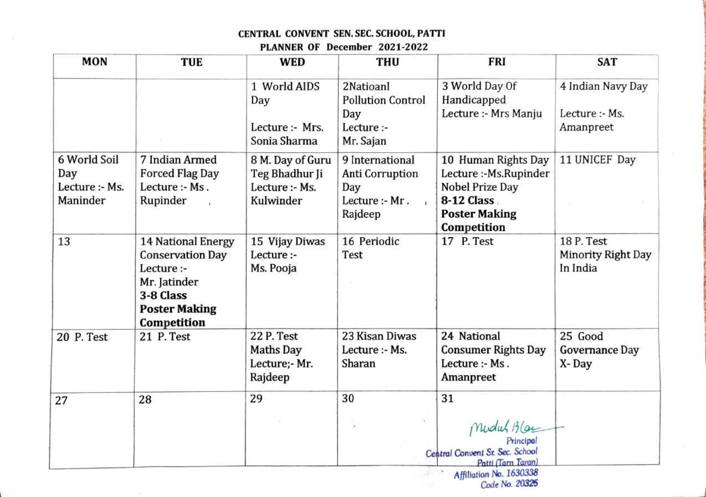#### PLANNER OF December 2021-2022

| <b>MON</b>                                        | <b>TUE</b>                                                                                                                             | <b>WED</b>                                                        | <b>THU</b>                                                                                    | <b>FRI</b>                                                                                                          | <b>SAT</b>                                       |
|---------------------------------------------------|----------------------------------------------------------------------------------------------------------------------------------------|-------------------------------------------------------------------|-----------------------------------------------------------------------------------------------|---------------------------------------------------------------------------------------------------------------------|--------------------------------------------------|
|                                                   |                                                                                                                                        | 1 World AIDS<br>Day<br>Lecture :- Mrs.<br>Sonia Sharma            | 2Natioanl<br><b>Pollution Control</b><br>Day<br>Lecture :-<br>Mr. Sajan                       | 3 World Day Of<br>Handicapped<br>Lecture :- Mrs Manju                                                               | 4 Indian Navy Day<br>Lecture :- Ms.<br>Amanpreet |
| 6 World Soil<br>Day<br>Lecture :- Ms.<br>Maninder | 7 Indian Armed<br><b>Forced Flag Day</b><br>Lecture :- Ms.<br>Rupinder                                                                 | 8 M. Day of Guru<br>Teg Bhadhur Ji<br>Lecture :- Ms.<br>Kulwinder | 9 International<br><b>Anti Corruption</b><br>Day<br>Lecture :- Mr.<br>$\mathbf{E}$<br>Rajdeep | 10 Human Rights Day<br>Lecture:-Ms.Rupinder<br>Nobel Prize Day<br>8-12 Class<br><b>Poster Making</b><br>Competition | 11 UNICEF Day                                    |
| 13                                                | <b>14 National Energy</b><br><b>Conservation Day</b><br>Lecture :-<br>Mr. Jatinder<br>3-8 Class<br><b>Poster Making</b><br>Competition | 15 Vijay Diwas<br>Lecture :-<br>Ms. Pooja                         | 16 Periodic<br>Test                                                                           | 17 P. Test                                                                                                          | 18 P. Test<br>Minority Right Day<br>In India     |
| 20 P. Test                                        | 21 P. Test                                                                                                                             | 22 P. Test<br><b>Maths Day</b><br>Lecture;- Mr.<br>Rajdeep        | 23 Kisan Diwas<br>Lecture :- Ms.<br>Sharan                                                    | 24 National<br><b>Consumer Rights Day</b><br>Lecture :- Ms.<br>Amanpreet                                            | 25 Good<br>Governance Day<br>X-Day               |
| 27                                                | 28                                                                                                                                     | 29                                                                | 30                                                                                            | 31<br>Mudul Blaz<br>Principal<br>Central Convent Sr. Sec. School<br>Patti (Tarn Taran)<br>Affiliation No. 1630338   |                                                  |

Affiliation N Code No. 20325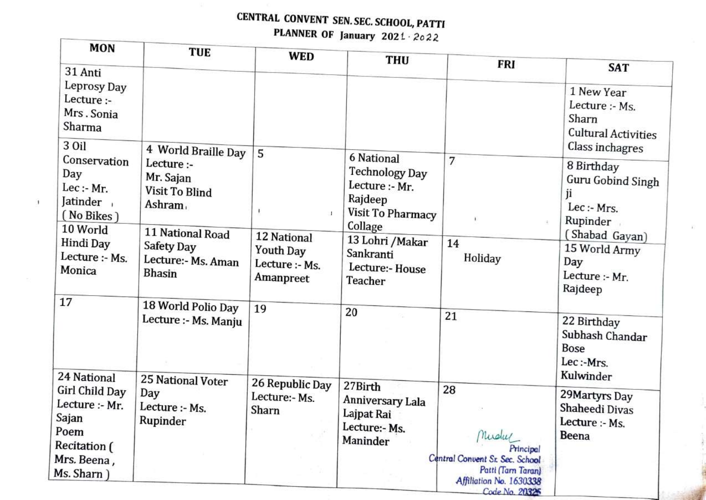# CENTRAL CONVENT SEN. SEC. SCHOOL, PATTI PLANNER OF January 2021 2022

| MON                                                                                                                          | <b>TUE</b>                                                                                                                                                  | <b>WED</b>                                                                      | <b>THU</b>                                                                                                                                                             |                                                                                                                                 |                                                                                                                                                   |
|------------------------------------------------------------------------------------------------------------------------------|-------------------------------------------------------------------------------------------------------------------------------------------------------------|---------------------------------------------------------------------------------|------------------------------------------------------------------------------------------------------------------------------------------------------------------------|---------------------------------------------------------------------------------------------------------------------------------|---------------------------------------------------------------------------------------------------------------------------------------------------|
| 31 Anti<br>Leprosy Day<br>Lecture :-<br>Mrs. Sonia<br>Sharma                                                                 |                                                                                                                                                             |                                                                                 |                                                                                                                                                                        | <b>FRI</b>                                                                                                                      | <b>SAT</b><br>1 New Year<br>Lecture :- Ms.<br>Sharn<br><b>Cultural Activities</b>                                                                 |
| 3 Oil<br>Conservation<br>Day<br>$Lec$ :- Mr.<br>Jatinder,<br>(No Bikes)<br>10 World<br>Hindi Day<br>Lecture :- Ms.<br>Monica | 4 World Braille Day<br>Lecture :-<br>Mr. Sajan<br><b>Visit To Blind</b><br>Ashram,<br>11 National Road<br>Safety Day<br>Lecture:- Ms. Aman<br><b>Bhasin</b> | 5<br>4<br><b>12 National</b><br><b>Youth Day</b><br>Lecture :- Ms.<br>Amanpreet | <b>6 National</b><br><b>Technology Day</b><br>Lecture :- Mr.<br>Rajdeep<br>Visit To Pharmacy<br>Collage<br>13 Lohri / Makar<br>Sankranti<br>Lecture:- House<br>Teacher | 7<br>a.<br>14<br>Holiday                                                                                                        | Class inchagres<br>8 Birthday<br>Guru Gobind Singh<br>ji<br>$Lec$ :- Mrs.<br>Rupinder<br>(Shabad Gayan)<br>15 World Army<br>Day<br>Lecture :- Mr. |
| 17<br>24 National                                                                                                            | 18 World Polio Day<br>Lecture :- Ms. Manju                                                                                                                  | 19                                                                              | 20                                                                                                                                                                     | 21                                                                                                                              | Rajdeep<br>22 Birthday<br>Subhash Chandar<br><b>Bose</b><br>Lec:-Mrs.<br>Kulwinder                                                                |
| Girl Child Day<br>Lecture :- Mr.<br>Sajan<br>Poem<br>Recitation (<br>Mrs. Beena,<br>Ms. Sharn)                               | 25 National Voter<br>Day<br>Lecture :- Ms.<br>Rupinder                                                                                                      | 26 Republic Day<br>Lecture:- Ms.<br>Sharn                                       | 27Birth<br>Anniversary Lala<br>Lajpat Rai<br>Lecture:- Ms.<br>Maninder                                                                                                 | 28<br>nuclus<br>Principal<br>Central Convent Sr. Sec. School<br>Patti (Tarn Taran)<br>Affiliation No. 1630338<br>Code No. 20325 | 29 Martyrs Day<br>Shaheedi Divas<br>Lecture :- Ms.<br>Beena                                                                                       |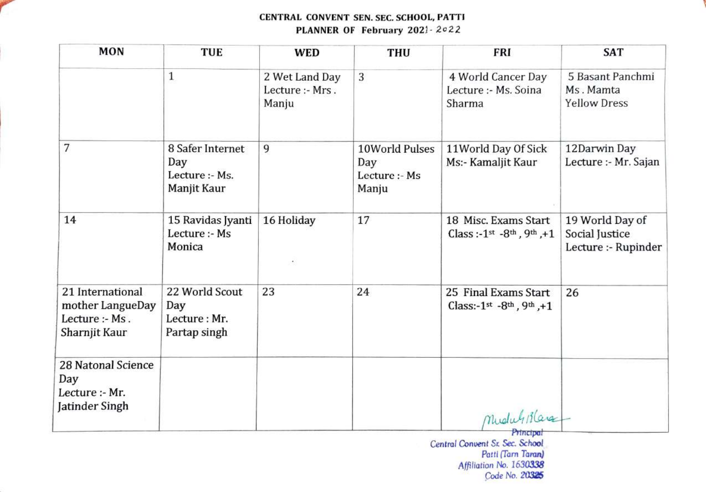

#### CENTRAL CONVENT SEN. SEC. SCHOOL, PATTI PLANNER OF February 2021- 2022

| <b>MON</b>                                                              | <b>TUE</b>                                               | <b>WED</b>                                 | <b>THU</b>                                      | <b>FRI</b>                                                                                  | <b>SAT</b>                                               |
|-------------------------------------------------------------------------|----------------------------------------------------------|--------------------------------------------|-------------------------------------------------|---------------------------------------------------------------------------------------------|----------------------------------------------------------|
|                                                                         | $\mathbf{1}$                                             | 2 Wet Land Day<br>Lecture :- Mrs.<br>Manju | 3                                               | 4 World Cancer Day<br>Lecture :- Ms. Soina<br>Sharma                                        | 5 Basant Panchmi<br>Ms. Mamta<br><b>Yellow Dress</b>     |
| 7                                                                       | 8 Safer Internet<br>Day<br>Lecture :- Ms.<br>Manjit Kaur | 9                                          | 10World Pulses<br>Day<br>Lecture :- Ms<br>Manju | 11World Day Of Sick<br>Ms:- Kamaljit Kaur                                                   | 12Darwin Day<br>Lecture :- Mr. Sajan                     |
| 14                                                                      | 15 Ravidas Jyanti<br>Lecture :- Ms<br>Monica             | 16 Holiday                                 | 17                                              | 18 Misc. Exams Start<br>Class: $-1$ <sup>st</sup> $-8$ <sup>th</sup> , 9 <sup>th</sup> , +1 | 19 World Day of<br>Social Justice<br>Lecture :- Rupinder |
| 21 International<br>mother LangueDay<br>Lecture :- Ms.<br>Sharnjit Kaur | 22 World Scout<br>Day<br>Lecture: Mr.<br>Partap singh    | 23                                         | 24                                              | 25 Final Exams Start<br>Class:-1st -8th, 9th, +1                                            | 26                                                       |
| 28 Natonal Science<br>Day<br>Lecture :- Mr.<br>Jatinder Singh           |                                                          |                                            |                                                 | MuduliBlance                                                                                |                                                          |

Prnctpat Central Conuent Sr. Sec. School Patti (Tarn Taran) Affiliation No. 1630338 Code No. 20325